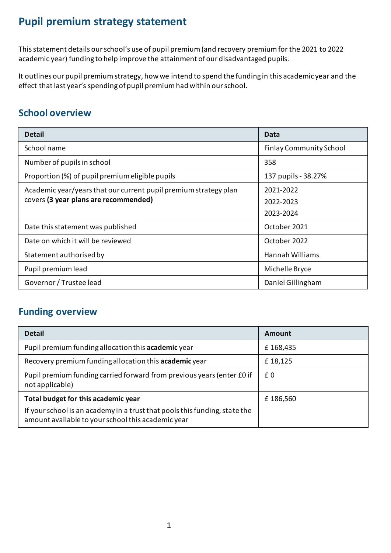## **Pupil premium strategy statement**

This statement details our school's use of pupil premium (and recovery premium for the 2021 to 2022 academic year) funding to help improve the attainment of our disadvantaged pupils.

It outlines our pupil premium strategy, how we intend to spend the funding in this academic year and the effect that last year's spending of pupil premium had within our school.

### **School overview**

| <b>Detail</b>                                                    | Data                           |
|------------------------------------------------------------------|--------------------------------|
| School name                                                      | <b>Finlay Community School</b> |
| Number of pupils in school                                       | 358                            |
| Proportion (%) of pupil premium eligible pupils                  | 137 pupils - 38.27%            |
| Academic year/years that our current pupil premium strategy plan | 2021-2022                      |
| covers (3 year plans are recommended)                            | 2022-2023                      |
|                                                                  | 2023-2024                      |
| Date this statement was published                                | October 2021                   |
| Date on which it will be reviewed                                | October 2022                   |
| Statement authorised by                                          | <b>Hannah Williams</b>         |
| Pupil premium lead                                               | Michelle Bryce                 |
| Governor / Trustee lead                                          | Daniel Gillingham              |

### **Funding overview**

| <b>Detail</b>                                                                                                                    | Amount   |
|----------------------------------------------------------------------------------------------------------------------------------|----------|
| Pupil premium funding allocation this <b>academic</b> year                                                                       | £168,435 |
| Recovery premium funding allocation this <b>academic</b> year                                                                    | £18,125  |
| Pupil premium funding carried forward from previous years (enter £0 if<br>not applicable)                                        | £0       |
| Total budget for this academic year                                                                                              | £186,560 |
| If your school is an academy in a trust that pools this funding, state the<br>amount available to your school this academic year |          |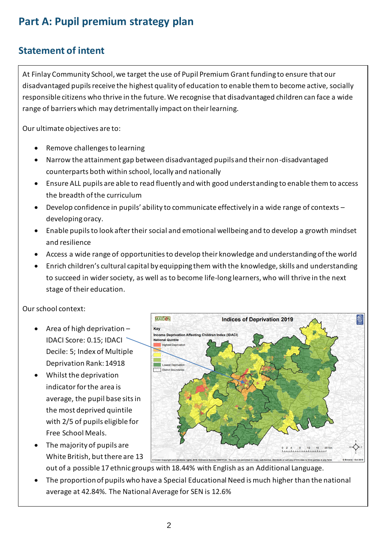# **Part A: Pupil premium strategy plan**

### **Statement of intent**

At Finlay Community School, we target the use of Pupil Premium Grant funding to ensure that our disadvantaged pupils receive the highest quality of education to enable them to become active, socially responsible citizens who thrive in the future. We recognise that disadvantaged children can face a wide range of barriers which may detrimentally impact on their learning.

Our ultimate objectives are to:

- Remove challengesto learning
- Narrow the attainment gap between disadvantaged pupils and their non-disadvantaged counterparts both within school, locally and nationally
- Ensure ALL pupils are able to read fluently and with good understanding to enable them to access the breadth of the curriculum
- Develop confidence in pupils' ability to communicate effectively in a wide range of contexts developing oracy.
- Enable pupils to look after their social and emotional wellbeing and to develop a growth mindset and resilience
- Access a wide range of opportunities to develop their knowledge and understanding of the world
- Enrich children's cultural capital by equipping them with the knowledge, skills and understanding to succeed in wider society, as well as to become life-long learners, who will thrive in the next stage of their education.

Our school context:

- Area of high deprivation IDACI Score: 0.15; IDACI Decile: 5; Index of Multiple Deprivation Rank: 14918
- Whilst the deprivation indicator for the area is average, the pupil base sits in the most deprived quintile with 2/5 of pupils eligible for Free School Meals.
- The majority of pupils are White British, but there are 13 out of a possible 17 ethnic groups with 18.44% with English as an Additional Language.



 The proportion of pupils who have a Special Educational Need is much higher than the national average at 42.84%. The National Average for SEN is 12.6%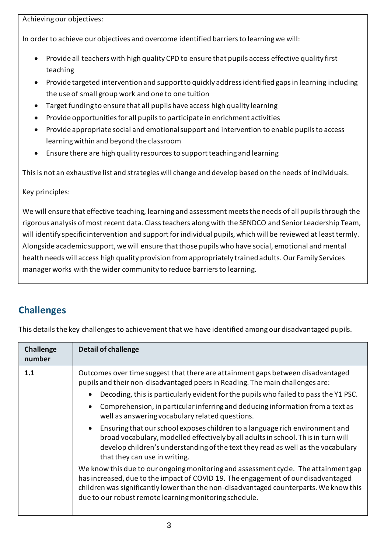Achieving our objectives:

In order to achieve our objectives and overcome identified barriers to learning we will:

- Provide all teachers with high quality CPD to ensure that pupils access effective quality first teaching
- Provide targeted intervention and support to quickly address identified gaps in learning including the use of small group work and one to one tuition
- Target funding to ensure that all pupils have access high quality learning
- Provide opportunities for all pupils to participate in enrichment activities
- Provide appropriate social and emotional support and intervention to enable pupils to access learning within and beyond the classroom
- Ensure there are high quality resources to support teaching and learning

This is not an exhaustive list and strategies will change and develop based on the needs of individuals.

#### Key principles:

We will ensure that effective teaching, learning and assessment meets the needs of all pupils through the rigorous analysis of most recent data. Class teachers along with the SENDCO and Senior Leadership Team, will identify specific intervention and support for individual pupils, which will be reviewed at least termly. Alongside academic support, we will ensure that those pupils who have social, emotional and mental health needs will access high quality provision from appropriately trained adults. Our Family Services manager works with the wider community to reduce barriers to learning.

### **Challenges**

This details the key challenges to achievement that we have identified among our disadvantaged pupils.

| <b>Challenge</b><br>number | <b>Detail of challenge</b>                                                                                                                                                                                                                                                                                                   |  |
|----------------------------|------------------------------------------------------------------------------------------------------------------------------------------------------------------------------------------------------------------------------------------------------------------------------------------------------------------------------|--|
| 1.1                        | Outcomes over time suggest that there are attainment gaps between disadvantaged<br>pupils and their non-disadvantaged peers in Reading. The main challenges are:                                                                                                                                                             |  |
|                            | Decoding, this is particularly evident for the pupils who failed to pass the Y1 PSC.                                                                                                                                                                                                                                         |  |
|                            | Comprehension, in particular inferring and deducing information from a text as<br>well as answering vocabulary related questions.                                                                                                                                                                                            |  |
|                            | • Ensuring that our school exposes children to a language rich environment and<br>broad vocabulary, modelled effectively by all adults in school. This in turn will<br>develop children's understanding of the text they read as well as the vocabulary<br>that they can use in writing.                                     |  |
|                            | We know this due to our ongoing monitoring and assessment cycle. The attainment gap<br>has increased, due to the impact of COVID 19. The engagement of our disadvantaged<br>children was significantly lower than the non-disadvantaged counterparts. We know this<br>due to our robust remote learning monitoring schedule. |  |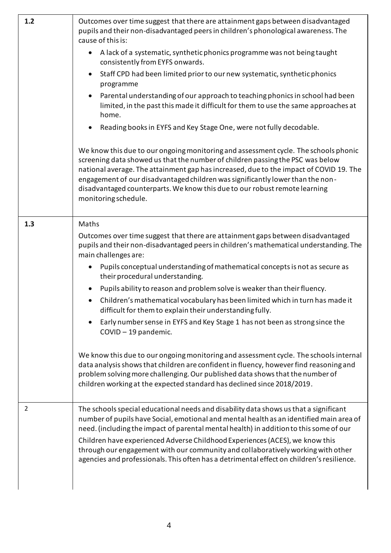| 1.2 | Outcomes over time suggest that there are attainment gaps between disadvantaged<br>pupils and their non-disadvantaged peers in children's phonological awareness. The<br>cause of this is:<br>A lack of a systematic, synthetic phonics programme was not being taught<br>consistently from EYFS onwards.<br>Staff CPD had been limited prior to our new systematic, synthetic phonics<br>programme<br>Parental understanding of our approach to teaching phonics in school had been<br>limited, in the past this made it difficult for them to use the same approaches at<br>home.<br>Reading books in EYFS and Key Stage One, were not fully decodable.<br>We know this due to our ongoing monitoring and assessment cycle. The schools phonic<br>screening data showed us that the number of children passing the PSC was below<br>national average. The attainment gap has increased, due to the impact of COVID 19. The                                                                                 |
|-----|--------------------------------------------------------------------------------------------------------------------------------------------------------------------------------------------------------------------------------------------------------------------------------------------------------------------------------------------------------------------------------------------------------------------------------------------------------------------------------------------------------------------------------------------------------------------------------------------------------------------------------------------------------------------------------------------------------------------------------------------------------------------------------------------------------------------------------------------------------------------------------------------------------------------------------------------------------------------------------------------------------------|
|     | engagement of our disadvantaged children was significantly lower than the non-<br>disadvantaged counterparts. We know this due to our robust remote learning<br>monitoring schedule.                                                                                                                                                                                                                                                                                                                                                                                                                                                                                                                                                                                                                                                                                                                                                                                                                         |
| 1.3 | Maths<br>Outcomes over time suggest that there are attainment gaps between disadvantaged<br>pupils and their non-disadvantaged peers in children's mathematical understanding. The<br>main challenges are:<br>Pupils conceptual understanding of mathematical concepts is not as secure as<br>their procedural understanding.<br>Pupils ability to reason and problem solve is weaker than their fluency.<br>Children's mathematical vocabulary has been limited which in turn has made it<br>difficult for them to explain their understanding fully.<br>Early number sense in EYFS and Key Stage 1 has not been as strong since the<br>COVID - 19 pandemic.<br>We know this due to our ongoing monitoring and assessment cycle. The schools internal<br>data analysis shows that children are confident in fluency, however find reasoning and<br>problem solving more challenging. Our published data shows that the number of<br>children working at the expected standard has declined since 2018/2019. |
| 2   | The schools special educational needs and disability data shows us that a significant<br>number of pupils have Social, emotional and mental health as an identified main area of<br>need. (including the impact of parental mental health) in addition to this some of our<br>Children have experienced Adverse Childhood Experiences (ACES), we know this<br>through our engagement with our community and collaboratively working with other<br>agencies and professionals. This often has a detrimental effect on children's resilience.                                                                                                                                                                                                                                                                                                                                                                                                                                                                  |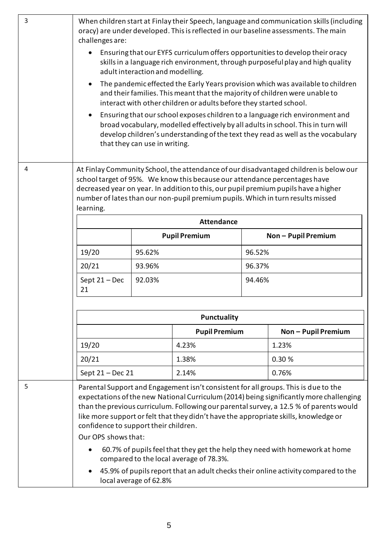| 3 | When children start at Finlay their Speech, language and communication skills (including<br>oracy) are under developed. This is reflected in our baseline assessments. The main<br>challenges are:<br>Ensuring that our EYFS curriculum offers opportunities to develop their oracy<br>skills in a language rich environment, through purposeful play and high quality<br>adult interaction and modelling.<br>The pandemic effected the Early Years provision which was available to children<br>and their families. This meant that the majority of children were unable to<br>interact with other children or adults before they started school.<br>Ensuring that our school exposes children to a language rich environment and<br>broad vocabulary, modelled effectively by all adults in school. This in turn will<br>develop children's understanding of the text they read as well as the vocabulary<br>that they can use in writing. |                                                                                                                                                                                                                                                                                                                                                                                                                          |                      |                            |                     |  |
|---|----------------------------------------------------------------------------------------------------------------------------------------------------------------------------------------------------------------------------------------------------------------------------------------------------------------------------------------------------------------------------------------------------------------------------------------------------------------------------------------------------------------------------------------------------------------------------------------------------------------------------------------------------------------------------------------------------------------------------------------------------------------------------------------------------------------------------------------------------------------------------------------------------------------------------------------------|--------------------------------------------------------------------------------------------------------------------------------------------------------------------------------------------------------------------------------------------------------------------------------------------------------------------------------------------------------------------------------------------------------------------------|----------------------|----------------------------|---------------------|--|
| 4 | learning.<br>19/20<br>20/21<br>Sept $21 - Dec$<br>21                                                                                                                                                                                                                                                                                                                                                                                                                                                                                                                                                                                                                                                                                                                                                                                                                                                                                         | At Finlay Community School, the attendance of our disadvantaged children is below our<br>school target of 95%. We know this because our attendance percentages have<br>decreased year on year. In addition to this, our pupil premium pupils have a higher<br>number of lates than our non-pupil premium pupils. Which in turn results missed<br><b>Attendance</b><br><b>Pupil Premium</b><br>95.62%<br>93.96%<br>92.03% |                      | 96.52%<br>96.37%<br>94.46% | Non - Pupil Premium |  |
|   |                                                                                                                                                                                                                                                                                                                                                                                                                                                                                                                                                                                                                                                                                                                                                                                                                                                                                                                                              |                                                                                                                                                                                                                                                                                                                                                                                                                          | <b>Punctuality</b>   |                            |                     |  |
|   |                                                                                                                                                                                                                                                                                                                                                                                                                                                                                                                                                                                                                                                                                                                                                                                                                                                                                                                                              |                                                                                                                                                                                                                                                                                                                                                                                                                          | <b>Pupil Premium</b> |                            | Non - Pupil Premium |  |
|   | 19/20                                                                                                                                                                                                                                                                                                                                                                                                                                                                                                                                                                                                                                                                                                                                                                                                                                                                                                                                        |                                                                                                                                                                                                                                                                                                                                                                                                                          | 4.23%                |                            | 1.23%               |  |
|   | 20/21                                                                                                                                                                                                                                                                                                                                                                                                                                                                                                                                                                                                                                                                                                                                                                                                                                                                                                                                        |                                                                                                                                                                                                                                                                                                                                                                                                                          | 1.38%                |                            | 0.30 %              |  |
|   | Sept 21 - Dec 21                                                                                                                                                                                                                                                                                                                                                                                                                                                                                                                                                                                                                                                                                                                                                                                                                                                                                                                             |                                                                                                                                                                                                                                                                                                                                                                                                                          | 2.14%                |                            | 0.76%               |  |
| 5 | Parental Support and Engagement isn't consistent for all groups. This is due to the<br>expectations of the new National Curriculum (2014) being significantly more challenging<br>than the previous curriculum. Following our parental survey, a 12.5 % of parents would<br>like more support or felt that they didn't have the appropriate skills, knowledge or<br>confidence to support their children.<br>Our OPS shows that:<br>60.7% of pupils feel that they get the help they need with homework at home<br>compared to the local average of 78.3%.<br>45.9% of pupils report that an adult checks their online activity compared to the<br>local average of 62.8%                                                                                                                                                                                                                                                                    |                                                                                                                                                                                                                                                                                                                                                                                                                          |                      |                            |                     |  |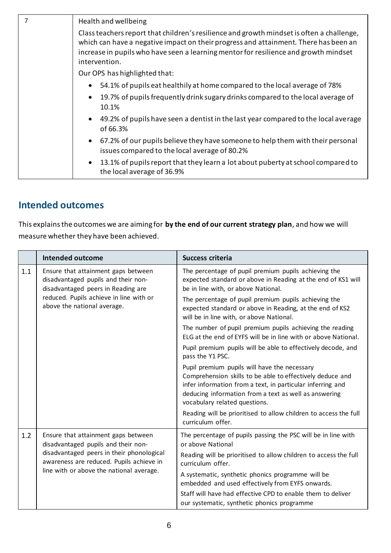| 7 | Health and wellbeing                                                                                                                                                                                                                                                                       |
|---|--------------------------------------------------------------------------------------------------------------------------------------------------------------------------------------------------------------------------------------------------------------------------------------------|
|   | Class teachers report that children's resilience and growth mindset is often a challenge,<br>which can have a negative impact on their progress and attainment. There has been an<br>increase in pupils who have seen a learning mentor for resilience and growth mindset<br>intervention. |
|   | Our OPS has highlighted that:                                                                                                                                                                                                                                                              |
|   | 54.1% of pupils eat healthily at home compared to the local average of 78%                                                                                                                                                                                                                 |
|   | 19.7% of pupils frequently drink sugary drinks compared to the local average of<br>10.1%                                                                                                                                                                                                   |
|   | • 49.2% of pupils have seen a dentist in the last year compared to the local average<br>of 66.3%                                                                                                                                                                                           |
|   | 67.2% of our pupils believe they have someone to help them with their personal<br>issues compared to the local average of 80.2%                                                                                                                                                            |
|   | 13.1% of pupils report that they learn a lot about puberty at school compared to<br>the local average of 36.9%                                                                                                                                                                             |
|   |                                                                                                                                                                                                                                                                                            |

#### **Intended outcomes**

This explains the outcomes we are aiming for **by the end of our current strategy plan**, and how we will measure whether they have been achieved.

|                                                                                   | <b>Intended outcome</b>                                                                                                                                                                                                                                           | <b>Success criteria</b>                                                                                                                                     |
|-----------------------------------------------------------------------------------|-------------------------------------------------------------------------------------------------------------------------------------------------------------------------------------------------------------------------------------------------------------------|-------------------------------------------------------------------------------------------------------------------------------------------------------------|
| 1.1                                                                               | Ensure that attainment gaps between<br>disadvantaged pupils and their non-<br>disadvantaged peers in Reading are                                                                                                                                                  | The percentage of pupil premium pupils achieving the<br>expected standard or above in Reading at the end of KS1 will<br>be in line with, or above National. |
| reduced. Pupils achieve in line with or<br>above the national average.            | The percentage of pupil premium pupils achieving the<br>expected standard or above in Reading, at the end of KS2<br>will be in line with, or above National.                                                                                                      |                                                                                                                                                             |
|                                                                                   |                                                                                                                                                                                                                                                                   | The number of pupil premium pupils achieving the reading<br>ELG at the end of EYFS will be in line with or above National.                                  |
|                                                                                   |                                                                                                                                                                                                                                                                   | Pupil premium pupils will be able to effectively decode, and<br>pass the Y1 PSC.                                                                            |
|                                                                                   | Pupil premium pupils will have the necessary<br>Comprehension skills to be able to effectively deduce and<br>infer information from a text, in particular inferring and<br>deducing information from a text as well as answering<br>vocabulary related questions. |                                                                                                                                                             |
|                                                                                   |                                                                                                                                                                                                                                                                   | Reading will be prioritised to allow children to access the full<br>curriculum offer.                                                                       |
| Ensure that attainment gaps between<br>1.2<br>disadvantaged pupils and their non- |                                                                                                                                                                                                                                                                   | The percentage of pupils passing the PSC will be in line with<br>or above National                                                                          |
|                                                                                   | disadvantaged peers in their phonological<br>awareness are reduced. Pupils achieve in<br>line with or above the national average.                                                                                                                                 | Reading will be prioritised to allow children to access the full<br>curriculum offer.                                                                       |
|                                                                                   |                                                                                                                                                                                                                                                                   | A systematic, synthetic phonics programme will be<br>embedded and used effectively from EYFS onwards.                                                       |
|                                                                                   |                                                                                                                                                                                                                                                                   | Staff will have had effective CPD to enable them to deliver<br>our systematic, synthetic phonics programme                                                  |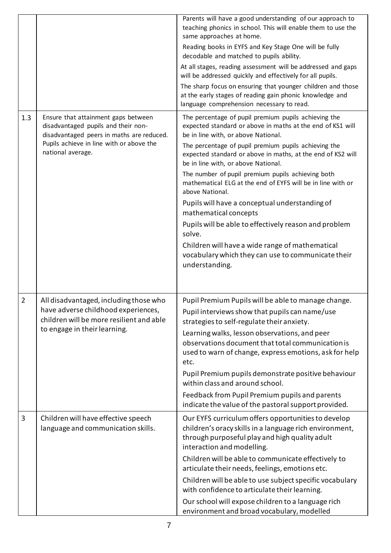|                |                                                                                                                                                                                          | Parents will have a good understanding of our approach to<br>teaching phonics in school. This will enable them to use the<br>same approaches at home.<br>Reading books in EYFS and Key Stage One will be fully<br>decodable and matched to pupils ability.<br>At all stages, reading assessment will be addressed and gaps<br>will be addressed quickly and effectively for all pupils.<br>The sharp focus on ensuring that younger children and those<br>at the early stages of reading gain phonic knowledge and<br>language comprehension necessary to read.                                                                                                                                                                         |
|----------------|------------------------------------------------------------------------------------------------------------------------------------------------------------------------------------------|-----------------------------------------------------------------------------------------------------------------------------------------------------------------------------------------------------------------------------------------------------------------------------------------------------------------------------------------------------------------------------------------------------------------------------------------------------------------------------------------------------------------------------------------------------------------------------------------------------------------------------------------------------------------------------------------------------------------------------------------|
| 1.3            | Ensure that attainment gaps between<br>disadvantaged pupils and their non-<br>disadvantaged peers in maths are reduced.<br>Pupils achieve in line with or above the<br>national average. | The percentage of pupil premium pupils achieving the<br>expected standard or above in maths at the end of KS1 will<br>be in line with, or above National.<br>The percentage of pupil premium pupils achieving the<br>expected standard or above in maths, at the end of KS2 will<br>be in line with, or above National.<br>The number of pupil premium pupils achieving both<br>mathematical ELG at the end of EYFS will be in line with or<br>above National.<br>Pupils will have a conceptual understanding of<br>mathematical concepts<br>Pupils will be able to effectively reason and problem<br>solve.<br>Children will have a wide range of mathematical<br>vocabulary which they can use to communicate their<br>understanding. |
| $\overline{2}$ | All disadvantaged, including those who<br>have adverse childhood experiences,<br>children will be more resilient and able<br>to engage in their learning.                                | Pupil Premium Pupils will be able to manage change.<br>Pupil interviews show that pupils can name/use<br>strategies to self-regulate their anxiety.<br>Learning walks, lesson observations, and peer<br>observations document that total communication is<br>used to warn of change, express emotions, ask for help<br>etc.<br>Pupil Premium pupils demonstrate positive behaviour<br>within class and around school.<br>Feedback from Pupil Premium pupils and parents<br>indicate the value of the pastoral support provided.                                                                                                                                                                                                         |
| 3              | Children will have effective speech<br>language and communication skills.                                                                                                                | Our EYFS curriculum offers opportunities to develop<br>children's oracy skills in a language rich environment,<br>through purposeful play and high quality adult<br>interaction and modelling.<br>Children will be able to communicate effectively to<br>articulate their needs, feelings, emotions etc.<br>Children will be able to use subject specific vocabulary<br>with confidence to articulate their learning.<br>Our school will expose children to a language rich<br>environment and broad vocabulary, modelled                                                                                                                                                                                                               |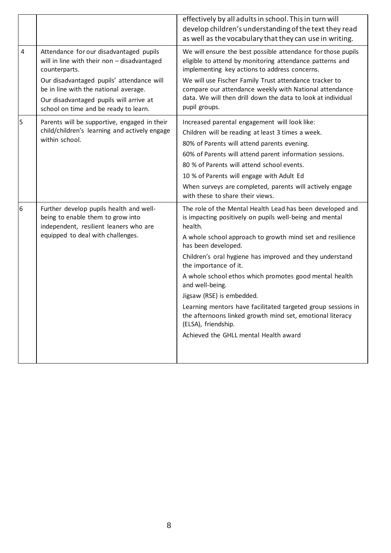|                |                                                                                                                                                                        | effectively by all adults in school. This in turn will<br>develop children's understanding of the text they read<br>as well as the vocabulary that they can use in writing.                                                                                                                                                                                                                                                                                                                                                                                                                                     |
|----------------|------------------------------------------------------------------------------------------------------------------------------------------------------------------------|-----------------------------------------------------------------------------------------------------------------------------------------------------------------------------------------------------------------------------------------------------------------------------------------------------------------------------------------------------------------------------------------------------------------------------------------------------------------------------------------------------------------------------------------------------------------------------------------------------------------|
| $\overline{4}$ | Attendance for our disadvantaged pupils<br>will in line with their non - disadvantaged<br>counterparts.                                                                | We will ensure the best possible attendance for those pupils<br>eligible to attend by monitoring attendance patterns and<br>implementing key actions to address concerns.                                                                                                                                                                                                                                                                                                                                                                                                                                       |
|                | Our disadvantaged pupils' attendance will<br>be in line with the national average.<br>Our disadvantaged pupils will arrive at<br>school on time and be ready to learn. | We will use Fischer Family Trust attendance tracker to<br>compare our attendance weekly with National attendance<br>data. We will then drill down the data to look at individual<br>pupil groups.                                                                                                                                                                                                                                                                                                                                                                                                               |
| 5              | Parents will be supportive, engaged in their<br>child/children's learning and actively engage<br>within school.                                                        | Increased parental engagement will look like:<br>Children will be reading at least 3 times a week.<br>80% of Parents will attend parents evening.<br>60% of Parents will attend parent information sessions.<br>80 % of Parents will attend school events.<br>10 % of Parents will engage with Adult Ed<br>When surveys are completed, parents will actively engage<br>with these to share their views.                                                                                                                                                                                                         |
| 6              | Further develop pupils health and well-<br>being to enable them to grow into<br>independent, resilient leaners who are<br>equipped to deal with challenges.            | The role of the Mental Health Lead has been developed and<br>is impacting positively on pupils well-being and mental<br>health.<br>A whole school approach to growth mind set and resilience<br>has been developed.<br>Children's oral hygiene has improved and they understand<br>the importance of it.<br>A whole school ethos which promotes good mental health<br>and well-being.<br>Jigsaw (RSE) is embedded.<br>Learning mentors have facilitated targeted group sessions in<br>the afternoons linked growth mind set, emotional literacy<br>(ELSA), friendship.<br>Achieved the GHLL mental Health award |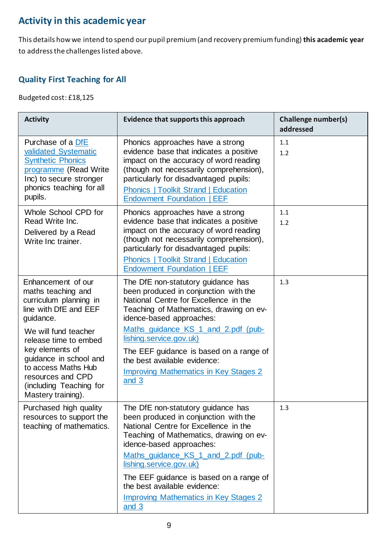### **Activity in this academic year**

This details how we intend to spend our pupil premium (and recovery premium funding) **this academic year** to address the challenges listed above.

#### **Quality First Teaching for All**

Budgeted cost: £18,125

| <b>Activity</b>                                                                                                                                                                                                                                                                                     | Evidence that supports this approach                                                                                                                                                                                                                                                                                                                                                              | <b>Challenge number(s)</b><br>addressed |
|-----------------------------------------------------------------------------------------------------------------------------------------------------------------------------------------------------------------------------------------------------------------------------------------------------|---------------------------------------------------------------------------------------------------------------------------------------------------------------------------------------------------------------------------------------------------------------------------------------------------------------------------------------------------------------------------------------------------|-----------------------------------------|
| Purchase of a DfE<br>validated Systematic<br><b>Synthetic Phonics</b><br>programme (Read Write<br>Inc) to secure stronger<br>phonics teaching for all<br>pupils.                                                                                                                                    | Phonics approaches have a strong<br>evidence base that indicates a positive<br>impact on the accuracy of word reading<br>(though not necessarily comprehension),<br>particularly for disadvantaged pupils:<br><b>Phonics   Toolkit Strand   Education</b><br><b>Endowment Foundation   EEF</b>                                                                                                    | 1.1<br>1.2                              |
| Whole School CPD for<br>Read Write Inc.<br>Delivered by a Read<br>Write Inc trainer.                                                                                                                                                                                                                | Phonics approaches have a strong<br>evidence base that indicates a positive<br>impact on the accuracy of word reading<br>(though not necessarily comprehension),<br>particularly for disadvantaged pupils:<br><b>Phonics   Toolkit Strand   Education</b><br><b>Endowment Foundation   EEF</b>                                                                                                    | 1.1<br>1.2                              |
| Enhancement of our<br>maths teaching and<br>curriculum planning in<br>line with DfE and EEF<br>guidance.<br>We will fund teacher<br>release time to embed<br>key elements of<br>guidance in school and<br>to access Maths Hub<br>resources and CPD<br>(including Teaching for<br>Mastery training). | The DfE non-statutory guidance has<br>been produced in conjunction with the<br>National Centre for Excellence in the<br>Teaching of Mathematics, drawing on ev-<br>idence-based approaches:<br>Maths guidance KS 1 and 2.pdf (pub-<br>lishing.service.gov.uk)<br>The EEF guidance is based on a range of<br>the best available evidence:<br><b>Improving Mathematics in Key Stages 2</b><br>and 3 | 1.3                                     |
| Purchased high quality<br>resources to support the<br>teaching of mathematics.                                                                                                                                                                                                                      | The DfE non-statutory guidance has<br>been produced in conjunction with the<br>National Centre for Excellence in the<br>Teaching of Mathematics, drawing on ev-<br>idence-based approaches:<br>Maths guidance KS 1 and 2.pdf (pub-<br>lishing.service.gov.uk)<br>The EEF guidance is based on a range of<br>the best available evidence:<br><b>Improving Mathematics in Key Stages 2</b><br>and 3 | 1.3                                     |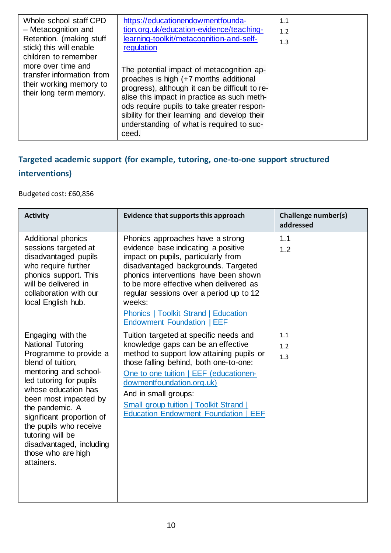| Whole school staff CPD<br>- Metacognition and<br>Retention. (making stuff<br>stick) this will enable<br>children to remember | https://educationendowmentfounda-<br>tion.org.uk/education-evidence/teaching-<br>learning-toolkit/metacognition-and-self-<br>regulation                                                                                                                                                                                                   | 1.1<br>1.2<br>1.3 |
|------------------------------------------------------------------------------------------------------------------------------|-------------------------------------------------------------------------------------------------------------------------------------------------------------------------------------------------------------------------------------------------------------------------------------------------------------------------------------------|-------------------|
| more over time and<br>transfer information from<br>their working memory to<br>their long term memory.                        | The potential impact of metacognition ap-<br>proaches is high (+7 months additional<br>progress), although it can be difficult to re-<br>alise this impact in practice as such meth-<br>ods require pupils to take greater respon-<br>sibility for their learning and develop their<br>understanding of what is required to suc-<br>ceed. |                   |

### **Targeted academic support (for example, tutoring, one-to-one support structured interventions)**

Budgeted cost: £60,856

| <b>Activity</b>                                                                                                                                                                                                                                                                                                                                         | Evidence that supports this approach                                                                                                                                                                                                                                                                                                                                              | <b>Challenge number(s)</b><br>addressed |
|---------------------------------------------------------------------------------------------------------------------------------------------------------------------------------------------------------------------------------------------------------------------------------------------------------------------------------------------------------|-----------------------------------------------------------------------------------------------------------------------------------------------------------------------------------------------------------------------------------------------------------------------------------------------------------------------------------------------------------------------------------|-----------------------------------------|
| <b>Additional phonics</b><br>sessions targeted at<br>disadvantaged pupils<br>who require further<br>phonics support. This<br>will be delivered in<br>collaboration with our<br>local English hub.                                                                                                                                                       | Phonics approaches have a strong<br>evidence base indicating a positive<br>impact on pupils, particularly from<br>disadvantaged backgrounds. Targeted<br>phonics interventions have been shown<br>to be more effective when delivered as<br>regular sessions over a period up to 12<br>weeks:<br><b>Phonics   Toolkit Strand   Education</b><br><b>Endowment Foundation   EEF</b> | 1.1<br>1.2                              |
| Engaging with the<br>National Tutoring<br>Programme to provide a<br>blend of tuition,<br>mentoring and school-<br>led tutoring for pupils<br>whose education has<br>been most impacted by<br>the pandemic. A<br>significant proportion of<br>the pupils who receive<br>tutoring will be<br>disadvantaged, including<br>those who are high<br>attainers. | Tuition targeted at specific needs and<br>knowledge gaps can be an effective<br>method to support low attaining pupils or<br>those falling behind, both one-to-one:<br>One to one tuition   EEF (educationen-<br>dowmentfoundation.org.uk)<br>And in small groups:<br><b>Small group tuition   Toolkit Strand</b><br><b>Education Endowment Foundation  </b><br><b>EEF</b>        | 1.1<br>1.2<br>1.3                       |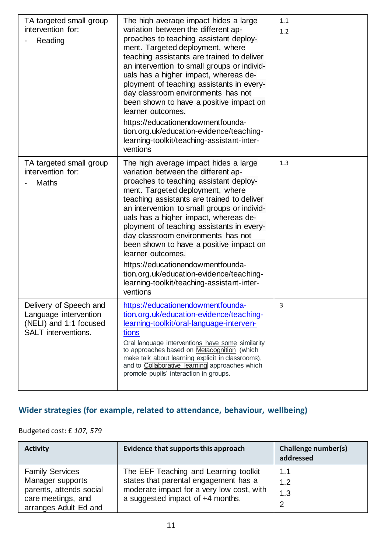| TA targeted small group<br>intervention for:<br>Reading                                                 | The high average impact hides a large<br>variation between the different ap-<br>proaches to teaching assistant deploy-<br>ment. Targeted deployment, where<br>teaching assistants are trained to deliver<br>an intervention to small groups or individ-<br>uals has a higher impact, whereas de-<br>ployment of teaching assistants in every-<br>day classroom environments has not<br>been shown to have a positive impact on<br>learner outcomes.<br>https://educationendowmentfounda-<br>tion.org.uk/education-evidence/teaching-<br>learning-toolkit/teaching-assistant-inter-<br>ventions | 1.1<br>1.2 |
|---------------------------------------------------------------------------------------------------------|------------------------------------------------------------------------------------------------------------------------------------------------------------------------------------------------------------------------------------------------------------------------------------------------------------------------------------------------------------------------------------------------------------------------------------------------------------------------------------------------------------------------------------------------------------------------------------------------|------------|
| TA targeted small group<br>intervention for:<br>Maths                                                   | The high average impact hides a large<br>variation between the different ap-<br>proaches to teaching assistant deploy-<br>ment. Targeted deployment, where<br>teaching assistants are trained to deliver<br>an intervention to small groups or individ-<br>uals has a higher impact, whereas de-<br>ployment of teaching assistants in every-<br>day classroom environments has not<br>been shown to have a positive impact on<br>learner outcomes.<br>https://educationendowmentfounda-<br>tion.org.uk/education-evidence/teaching-<br>learning-toolkit/teaching-assistant-inter-<br>ventions | 1.3        |
| Delivery of Speech and<br>Language intervention<br>(NELI) and 1:1 focused<br><b>SALT</b> interventions. | https://educationendowmentfounda-<br>tion.org.uk/education-evidence/teaching-<br>learning-toolkit/oral-language-interven-<br>tions<br>Oral language interventions have some similarity<br>to approaches based on Metacognition (which<br>make talk about learning explicit in classrooms).<br>and to <b>Collaborative</b> learning approaches which<br>promote pupils' interaction in groups.                                                                                                                                                                                                  | 3          |

### **Wider strategies (for example, related to attendance, behaviour, wellbeing)**

Budgeted cost: £ *107, 579*

| <b>Activity</b>                               | Evidence that supports this approach                                          | Challenge number(s)<br>addressed |
|-----------------------------------------------|-------------------------------------------------------------------------------|----------------------------------|
| <b>Family Services</b>                        | The EEF Teaching and Learning toolkit                                         | 1.1                              |
| Manager supports                              | states that parental engagement has a                                         | 1.2                              |
| parents, attends social<br>care meetings, and | moderate impact for a very low cost, with<br>a suggested impact of +4 months. | 1.3                              |
| arranges Adult Ed and                         |                                                                               | 2                                |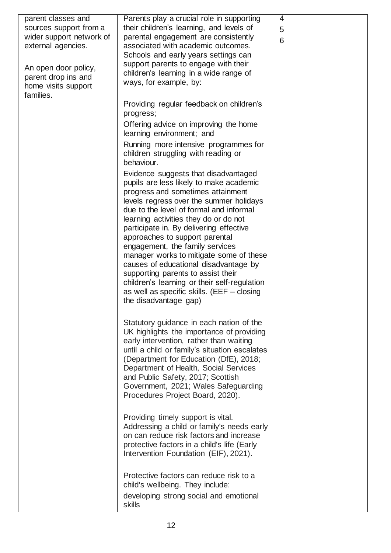| parent classes and<br>sources support from a<br>wider support network of<br>external agencies.<br>An open door policy,<br>parent drop ins and<br>home visits support<br>families. | Parents play a crucial role in supporting<br>their children's learning, and levels of<br>parental engagement are consistently<br>associated with academic outcomes.<br>Schools and early years settings can<br>support parents to engage with their<br>children's learning in a wide range of<br>ways, for example, by:                                                                                                                                                                                                                                                                                                | $\overline{4}$<br>5<br>6 |
|-----------------------------------------------------------------------------------------------------------------------------------------------------------------------------------|------------------------------------------------------------------------------------------------------------------------------------------------------------------------------------------------------------------------------------------------------------------------------------------------------------------------------------------------------------------------------------------------------------------------------------------------------------------------------------------------------------------------------------------------------------------------------------------------------------------------|--------------------------|
|                                                                                                                                                                                   | Providing regular feedback on children's<br>progress;                                                                                                                                                                                                                                                                                                                                                                                                                                                                                                                                                                  |                          |
|                                                                                                                                                                                   | Offering advice on improving the home<br>learning environment; and                                                                                                                                                                                                                                                                                                                                                                                                                                                                                                                                                     |                          |
|                                                                                                                                                                                   | Running more intensive programmes for<br>children struggling with reading or<br>behaviour.                                                                                                                                                                                                                                                                                                                                                                                                                                                                                                                             |                          |
|                                                                                                                                                                                   | Evidence suggests that disadvantaged<br>pupils are less likely to make academic<br>progress and sometimes attainment<br>levels regress over the summer holidays<br>due to the level of formal and informal<br>learning activities they do or do not<br>participate in. By delivering effective<br>approaches to support parental<br>engagement, the family services<br>manager works to mitigate some of these<br>causes of educational disadvantage by<br>supporting parents to assist their<br>children's learning or their self-regulation<br>as well as specific skills. (EEF $-$ closing<br>the disadvantage gap) |                          |
|                                                                                                                                                                                   | Statutory guidance in each nation of the<br>UK highlights the importance of providing<br>early intervention, rather than waiting<br>until a child or family's situation escalates<br>(Department for Education (DfE), 2018;<br>Department of Health, Social Services<br>and Public Safety, 2017; Scottish<br>Government, 2021; Wales Safeguarding<br>Procedures Project Board, 2020).                                                                                                                                                                                                                                  |                          |
|                                                                                                                                                                                   | Providing timely support is vital.<br>Addressing a child or family's needs early<br>on can reduce risk factors and increase<br>protective factors in a child's life (Early<br>Intervention Foundation (EIF), 2021).                                                                                                                                                                                                                                                                                                                                                                                                    |                          |
|                                                                                                                                                                                   | Protective factors can reduce risk to a<br>child's wellbeing. They include:<br>developing strong social and emotional<br>skills                                                                                                                                                                                                                                                                                                                                                                                                                                                                                        |                          |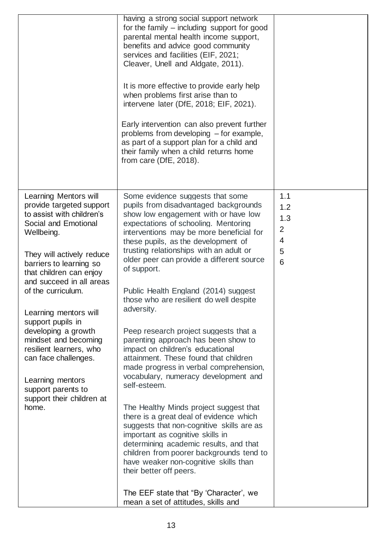|                                                                                                                                                                                                                                                                                                                                                                                                                                                                                           | having a strong social support network<br>for the family – including support for good<br>parental mental health income support,<br>benefits and advice good community<br>services and facilities (EIF, 2021;<br>Cleaver, Unell and Aldgate, 2011).<br>It is more effective to provide early help<br>when problems first arise than to<br>intervene later (DfE, 2018; EIF, 2021).<br>Early intervention can also prevent further<br>problems from developing – for example,<br>as part of a support plan for a child and<br>their family when a child returns home<br>from care (DfE, 2018).                                                                                                                                                                                                                                                                                                                                                                                                                                                                                                                                          |                                                     |
|-------------------------------------------------------------------------------------------------------------------------------------------------------------------------------------------------------------------------------------------------------------------------------------------------------------------------------------------------------------------------------------------------------------------------------------------------------------------------------------------|--------------------------------------------------------------------------------------------------------------------------------------------------------------------------------------------------------------------------------------------------------------------------------------------------------------------------------------------------------------------------------------------------------------------------------------------------------------------------------------------------------------------------------------------------------------------------------------------------------------------------------------------------------------------------------------------------------------------------------------------------------------------------------------------------------------------------------------------------------------------------------------------------------------------------------------------------------------------------------------------------------------------------------------------------------------------------------------------------------------------------------------|-----------------------------------------------------|
| Learning Mentors will<br>provide targeted support<br>to assist with children's<br>Social and Emotional<br>Wellbeing.<br>They will actively reduce<br>barriers to learning so<br>that children can enjoy<br>and succeed in all areas<br>of the curriculum.<br>Learning mentors will<br>support pupils in<br>developing a growth<br>mindset and becoming<br>resilient learners, who<br>can face challenges.<br>Learning mentors<br>support parents to<br>support their children at<br>home. | Some evidence suggests that some<br>pupils from disadvantaged backgrounds<br>show low engagement with or have low<br>expectations of schooling. Mentoring<br>interventions may be more beneficial for<br>these pupils, as the development of<br>trusting relationships with an adult or<br>older peer can provide a different source<br>of support.<br>Public Health England (2014) suggest<br>those who are resilient do well despite<br>adversity.<br>Peep research project suggests that a<br>parenting approach has been show to<br>impact on children's educational<br>attainment. These found that children<br>made progress in verbal comprehension,<br>vocabulary, numeracy development and<br>self-esteem.<br>The Healthy Minds project suggest that<br>there is a great deal of evidence which<br>suggests that non-cognitive skills are as<br>important as cognitive skills in<br>determining academic results, and that<br>children from poorer backgrounds tend to<br>have weaker non-cognitive skills than<br>their better off peers.<br>The EEF state that "By 'Character', we<br>mean a set of attitudes, skills and | 1.1<br>1.2<br>1.3<br>2<br>4<br>5<br>$6\phantom{1}6$ |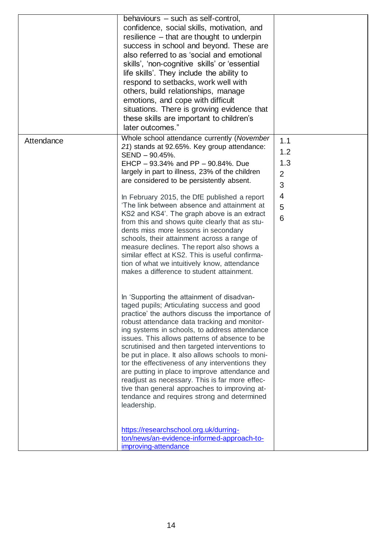|            | behaviours - such as self-control,<br>confidence, social skills, motivation, and<br>resilience – that are thought to underpin<br>success in school and beyond. These are<br>also referred to as 'social and emotional<br>skills', 'non-cognitive skills' or 'essential<br>life skills'. They include the ability to<br>respond to setbacks, work well with<br>others, build relationships, manage<br>emotions, and cope with difficult<br>situations. There is growing evidence that<br>these skills are important to children's<br>later outcomes."                                                                                                                                                                                                                                                                                                                                                                                                                                                                                                                                                                                                                                                                                                                                                                                                                                                                                                           |                                                         |
|------------|----------------------------------------------------------------------------------------------------------------------------------------------------------------------------------------------------------------------------------------------------------------------------------------------------------------------------------------------------------------------------------------------------------------------------------------------------------------------------------------------------------------------------------------------------------------------------------------------------------------------------------------------------------------------------------------------------------------------------------------------------------------------------------------------------------------------------------------------------------------------------------------------------------------------------------------------------------------------------------------------------------------------------------------------------------------------------------------------------------------------------------------------------------------------------------------------------------------------------------------------------------------------------------------------------------------------------------------------------------------------------------------------------------------------------------------------------------------|---------------------------------------------------------|
| Attendance | Whole school attendance currently (November<br>21) stands at 92.65%. Key group attendance:<br>SEND - 90.45%.<br>EHCP - 93.34% and PP - 90.84%. Due<br>largely in part to illness, 23% of the children<br>are considered to be persistently absent.<br>In February 2015, the DfE published a report<br>'The link between absence and attainment at<br>KS2 and KS4'. The graph above is an extract<br>from this and shows quite clearly that as stu-<br>dents miss more lessons in secondary<br>schools, their attainment across a range of<br>measure declines. The report also shows a<br>similar effect at KS2. This is useful confirma-<br>tion of what we intuitively know, attendance<br>makes a difference to student attainment.<br>In 'Supporting the attainment of disadvan-<br>taged pupils; Articulating success and good<br>practice' the authors discuss the importance of<br>robust attendance data tracking and monitor-<br>ing systems in schools, to address attendance<br>issues. This allows patterns of absence to be<br>scrutinised and then targeted interventions to<br>be put in place. It also allows schools to moni-<br>tor the effectiveness of any interventions they<br>are putting in place to improve attendance and<br>readjust as necessary. This is far more effec-<br>tive than general approaches to improving at-<br>tendance and requires strong and determined<br>leadership.<br>https://researchschool.org.uk/durring- | 1.1<br>1.2<br>1.3<br>$\overline{2}$<br>3<br>4<br>5<br>6 |
|            | ton/news/an-evidence-informed-approach-to-<br>improving-attendance                                                                                                                                                                                                                                                                                                                                                                                                                                                                                                                                                                                                                                                                                                                                                                                                                                                                                                                                                                                                                                                                                                                                                                                                                                                                                                                                                                                             |                                                         |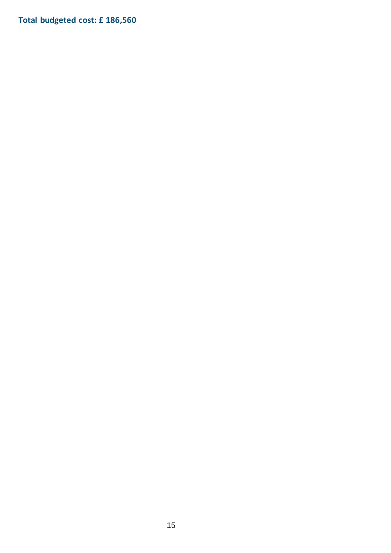**Total budgeted cost: £ 186,560**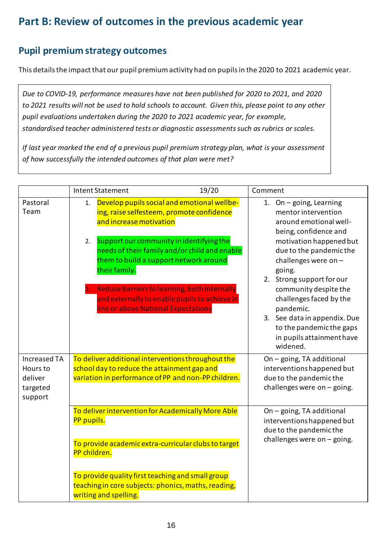### **Part B: Review of outcomes in the previous academic year**

#### **Pupil premium strategy outcomes**

This details the impact that our pupil premium activity had on pupils in the 2020 to 2021 academic year.

*Due to COVID-19, performance measures have not been published for 2020 to 2021, and 2020 to 2021 results will not be used to hold schools to account. Given this, please point to any other pupil evaluations undertaken during the 2020 to 2021 academic year, for example, standardised teacher administered tests or diagnostic assessments such as rubrics or scales.*

*If last year marked the end of a previous pupil premium strategy plan, what is your assessment of how successfully the intended outcomes of that plan were met?* 

|                                                            | <b>Intent Statement</b>                                                                                                                                                                                                                                                                                                                                                                                                         | 19/20 | Comment                                                                                                                                                                                                                                                                                                                                                                                        |
|------------------------------------------------------------|---------------------------------------------------------------------------------------------------------------------------------------------------------------------------------------------------------------------------------------------------------------------------------------------------------------------------------------------------------------------------------------------------------------------------------|-------|------------------------------------------------------------------------------------------------------------------------------------------------------------------------------------------------------------------------------------------------------------------------------------------------------------------------------------------------------------------------------------------------|
| Pastoral<br>Team                                           | Develop pupils social and emotional wellbe-<br>1.<br>ing, raise selfesteem, promote confidence<br>and increase motivation<br>Support our community in identifying the<br>2.<br>needs of their family and/or child and enable<br>them to build a support network around<br>their family.<br>Reduce barriers to learning, both internally<br>and externally to enable pupils to achieve in<br>line or above National Expectations |       | 1. On - going, Learning<br>mentor intervention<br>around emotional well-<br>being, confidence and<br>motivation happened but<br>due to the pandemic the<br>challenges were on $-$<br>going.<br>2. Strong support for our<br>community despite the<br>challenges faced by the<br>pandemic.<br>3. See data in appendix. Due<br>to the pandemic the gaps<br>in pupils attainment have<br>widened. |
| Increased TA<br>Hours to<br>deliver<br>targeted<br>support | To deliver additional interventions throughout the<br>school day to reduce the attainment gap and<br>variation in performance of PP and non-PP children.                                                                                                                                                                                                                                                                        |       | On - going, TA additional<br>interventions happened but<br>due to the pandemic the<br>challenges were on $-$ going.                                                                                                                                                                                                                                                                            |
|                                                            | To deliver intervention for Academically More Able<br>PP pupils.<br>To provide academic extra-curricular clubs to target<br>PP children.                                                                                                                                                                                                                                                                                        |       | On - going, TA additional<br>interventions happened but<br>due to the pandemic the<br>challenges were on $-$ going.                                                                                                                                                                                                                                                                            |
|                                                            | To provide quality first teaching and small group<br>teaching in core subjects: phonics, maths, reading,<br>writing and spelling.                                                                                                                                                                                                                                                                                               |       |                                                                                                                                                                                                                                                                                                                                                                                                |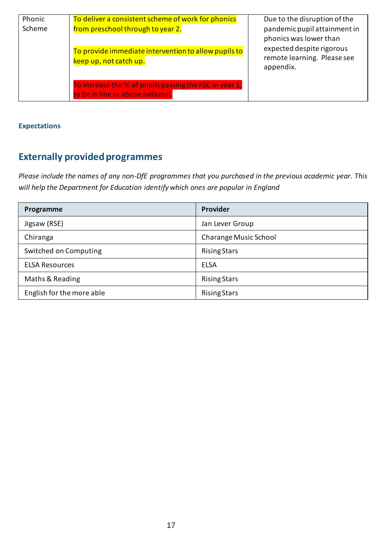| Phonic<br>Scheme | To deliver a consistent scheme of work for phonics<br>from preschool through to year 2.    | Due to the disruption of the<br>pandemic pupil attainment in<br>phonics was lower than |
|------------------|--------------------------------------------------------------------------------------------|----------------------------------------------------------------------------------------|
|                  | To provide immediate intervention to allow pupils to<br>keep up, not catch up.             | expected despite rigorous<br>remote learning. Please see<br>appendix.                  |
|                  | To increase the % of pupils passing the PSC in year 1,<br>to be in line or above national. |                                                                                        |

#### **Expectations**

## **Externally provided programmes**

*Please include the names of any non-DfE programmes that you purchased in the previous academic year. This will help the Department for Education identify which ones are popular in England*

| Programme                 | Provider              |
|---------------------------|-----------------------|
| Jigsaw (RSE)              | Jan Lever Group       |
| Chiranga                  | Charange Music School |
| Switched on Computing     | <b>Rising Stars</b>   |
| <b>ELSA Resources</b>     | <b>ELSA</b>           |
| Maths & Reading           | <b>Rising Stars</b>   |
| English for the more able | <b>Rising Stars</b>   |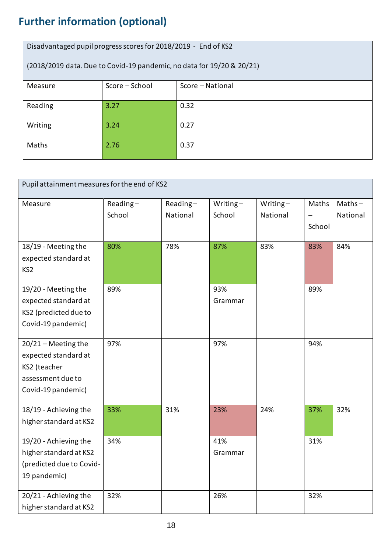# **Further information (optional)**

| Disadvantaged pupil progress scores for 2018/2019 - End of KS2        |                |                  |  |  |
|-----------------------------------------------------------------------|----------------|------------------|--|--|
| (2018/2019 data. Due to Covid-19 pandemic, no data for 19/20 & 20/21) |                |                  |  |  |
| Measure                                                               | Score - School | Score - National |  |  |
|                                                                       |                |                  |  |  |
| Reading                                                               | 3.27           | 0.32             |  |  |
| Writing                                                               | 3.24           | 0.27             |  |  |
|                                                                       |                |                  |  |  |
| Maths                                                                 | 2.76           | 0.37             |  |  |
|                                                                       |                |                  |  |  |

| Pupil attainment measures for the end of KS2 |          |          |          |             |                          |           |
|----------------------------------------------|----------|----------|----------|-------------|--------------------------|-----------|
| Measure                                      | Reading- | Reading- | Writing- | Writing $-$ | Maths                    | $Maths -$ |
|                                              | School   | National | School   | National    | $\overline{\phantom{0}}$ | National  |
|                                              |          |          |          |             | School                   |           |
|                                              |          |          |          |             |                          |           |
| 18/19 - Meeting the                          | 80%      | 78%      | 87%      | 83%         | 83%                      | 84%       |
| expected standard at                         |          |          |          |             |                          |           |
| KS <sub>2</sub>                              |          |          |          |             |                          |           |
|                                              |          |          |          |             |                          |           |
| 19/20 - Meeting the                          | 89%      |          | 93%      |             | 89%                      |           |
| expected standard at                         |          |          | Grammar  |             |                          |           |
| KS2 (predicted due to                        |          |          |          |             |                          |           |
| Covid-19 pandemic)                           |          |          |          |             |                          |           |
|                                              |          |          |          |             |                          |           |
| $20/21$ - Meeting the                        | 97%      |          | 97%      |             | 94%                      |           |
| expected standard at                         |          |          |          |             |                          |           |
| KS2 (teacher                                 |          |          |          |             |                          |           |
| assessment due to                            |          |          |          |             |                          |           |
| Covid-19 pandemic)                           |          |          |          |             |                          |           |
|                                              |          |          |          | 24%         |                          |           |
| 18/19 - Achieving the                        | 33%      | 31%      | 23%      |             | 37%                      | 32%       |
| higher standard at KS2                       |          |          |          |             |                          |           |
| 19/20 - Achieving the                        | 34%      |          | 41%      |             | 31%                      |           |
| higher standard at KS2                       |          |          | Grammar  |             |                          |           |
| (predicted due to Covid-                     |          |          |          |             |                          |           |
| 19 pandemic)                                 |          |          |          |             |                          |           |
|                                              |          |          |          |             |                          |           |
| 20/21 - Achieving the                        | 32%      |          | 26%      |             | 32%                      |           |
| higher standard at KS2                       |          |          |          |             |                          |           |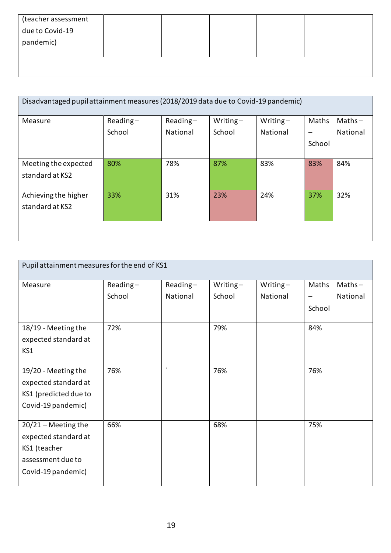| (teacher assessment<br>due to Covid-19<br>pandemic) |  |  |  |
|-----------------------------------------------------|--|--|--|
|                                                     |  |  |  |

| Disadvantaged pupil attainment measures (2018/2019 data due to Covid-19 pandemic) |             |            |             |             |        |           |
|-----------------------------------------------------------------------------------|-------------|------------|-------------|-------------|--------|-----------|
| Measure                                                                           | $Reading -$ | $Reading-$ | Writing $-$ | Writing $-$ | Maths  | $Maths -$ |
|                                                                                   | School      | National   | School      | National    |        | National  |
|                                                                                   |             |            |             |             | School |           |
| Meeting the expected                                                              | 80%         | 78%        | 87%         | 83%         | 83%    | 84%       |
| standard at KS2                                                                   |             |            |             |             |        |           |
| Achieving the higher                                                              | 33%         | 31%        | 23%         | 24%         | 37%    | 32%       |
| standard at KS2                                                                   |             |            |             |             |        |           |
|                                                                                   |             |            |             |             |        |           |

| Pupil attainment measures for the end of KS1 |          |          |          |          |        |           |
|----------------------------------------------|----------|----------|----------|----------|--------|-----------|
| Measure                                      | Reading- | Reading- | Writing- | Writing- | Maths  | $Maths -$ |
|                                              | School   | National | School   | National |        | National  |
|                                              |          |          |          |          | School |           |
| 18/19 - Meeting the                          | 72%      |          | 79%      |          | 84%    |           |
| expected standard at                         |          |          |          |          |        |           |
| KS1                                          |          |          |          |          |        |           |
|                                              |          | $\cdot$  |          |          |        |           |
| 19/20 - Meeting the                          | 76%      |          | 76%      |          | 76%    |           |
| expected standard at                         |          |          |          |          |        |           |
| KS1 (predicted due to                        |          |          |          |          |        |           |
| Covid-19 pandemic)                           |          |          |          |          |        |           |
|                                              |          |          |          |          |        |           |
| $20/21$ – Meeting the                        | 66%      |          | 68%      |          | 75%    |           |
| expected standard at                         |          |          |          |          |        |           |
| KS1 (teacher                                 |          |          |          |          |        |           |
| assessment due to                            |          |          |          |          |        |           |
| Covid-19 pandemic)                           |          |          |          |          |        |           |
|                                              |          |          |          |          |        |           |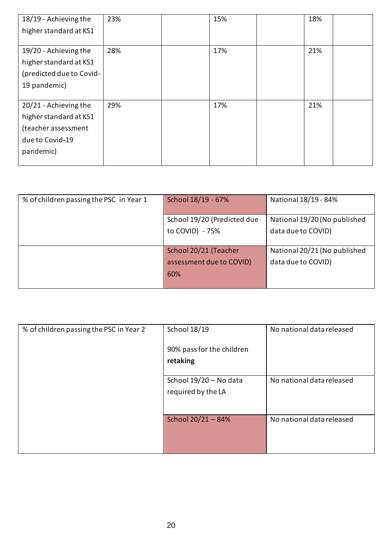| 18/19 - Achieving the    | 23% | 15% | 18% |  |
|--------------------------|-----|-----|-----|--|
| higher standard at KS1   |     |     |     |  |
|                          |     |     |     |  |
| 19/20 - Achieving the    | 28% | 17% | 21% |  |
| higher standard at KS1   |     |     |     |  |
| (predicted due to Covid- |     |     |     |  |
| 19 pandemic)             |     |     |     |  |
|                          |     |     |     |  |
| 20/21 - Achieving the    | 29% | 17% | 21% |  |
| higher standard at KS1   |     |     |     |  |
| (teacher assessment      |     |     |     |  |
| due to Covid-19          |     |     |     |  |
| pandemic)                |     |     |     |  |
|                          |     |     |     |  |

| % of children passing the PSC in Year 1 | School 18/19 - 67%          | National 18/19 - 84%         |
|-----------------------------------------|-----------------------------|------------------------------|
|                                         |                             |                              |
|                                         | School 19/20 (Predicted due | National 19/20 (No published |
|                                         | to COVID) - 75%             | data due to COVID)           |
|                                         |                             |                              |
|                                         | School 20/21 (Teacher       | National 20/21 (No published |
|                                         | assessment due to COVID)    | data due to COVID)           |
|                                         | 60%                         |                              |
|                                         |                             |                              |

| % of children passing the PSC in Year 2 | School 18/19                                 | No national data released |
|-----------------------------------------|----------------------------------------------|---------------------------|
|                                         | 90% pass for the children<br>retaking        |                           |
|                                         | School 19/20 - No data<br>required by the LA | No national data released |
|                                         | School 20/21 - 84%                           | No national data released |